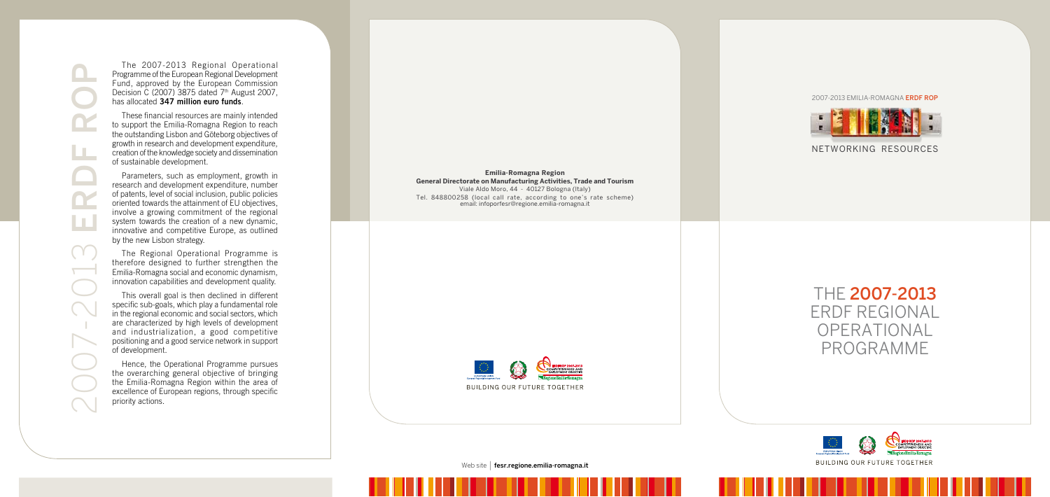The 2007-2013 Regional Operational Programme of the European Regional Development Fund, approved by the European Commission Decision C (2007) 3875 dated  $7<sup>th</sup>$  August 2007, has allocated **347 million euro funds**.

These financial resources are mainly intended to support the Emilia-Romagna Region to reach the outstanding Lisbon and Göteborg objectives of growth in research and development expenditure, creation of the knowledge society and dissemination of sustainable development.

Parameters, such as employment, growth in research and development expenditure, number of patents, level of social inclusion, public policies oriented towards the attainment of EU objectives, involve a growing commitment of the regional system towards the creation of a new dynamic, innovative and competitive Europe, as outlined by the new Lisbon strategy.

The Regional Operational Programme is therefore designed to further strengthen the Emilia-Romagna social and economic dynamism, innovation capabilities and development quality.

This overall goal is then declined in different specific sub-goals, which play a fundamental role in the regional economic and social sectors, which are characterized by high levels of development and industrialization, a good competitive positioning and a good service network in support of development.

Hence, the Operational Programme pursues the overarching general objective of bringing the Emilia-Romagna Region within the area of excellence of European regions, through specific priority actions.

THE 2007-2013 ERDF REGIONAL OPERATIONAL PROGRAMME



**Emilia-Romagna Region General Directorate on Manufacturing Activities, Trade and Tourism** Viale Aldo Moro, 44 - 40127 Bologna (Italy) Tel. 848800258 (local call rate, according to one's rate scheme) email: infoporfesr@regione.emilia-romagna.it



Web site | **fesr.regione.emilia-romagna.it** 

NETWORKING RESOURCES

2007-2013 EMILIA-ROMAGNA ERDF ROP